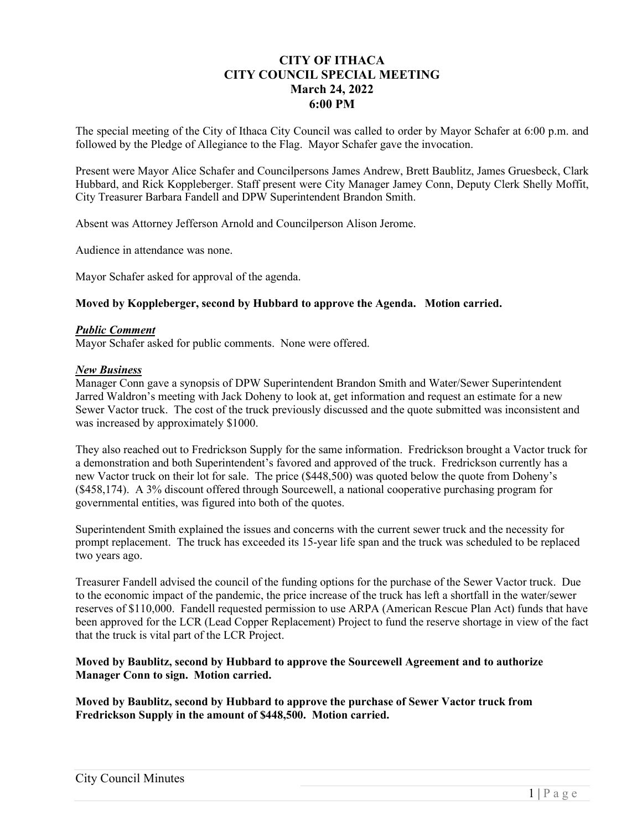# **CITY OF ITHACA CITY COUNCIL SPECIAL MEETING March 24, 2022 6:00 PM**

The special meeting of the City of Ithaca City Council was called to order by Mayor Schafer at 6:00 p.m. and followed by the Pledge of Allegiance to the Flag. Mayor Schafer gave the invocation.

Present were Mayor Alice Schafer and Councilpersons James Andrew, Brett Baublitz, James Gruesbeck, Clark Hubbard, and Rick Koppleberger. Staff present were City Manager Jamey Conn, Deputy Clerk Shelly Moffit, City Treasurer Barbara Fandell and DPW Superintendent Brandon Smith.

Absent was Attorney Jefferson Arnold and Councilperson Alison Jerome.

Audience in attendance was none.

Mayor Schafer asked for approval of the agenda.

### **Moved by Koppleberger, second by Hubbard to approve the Agenda. Motion carried.**

#### *Public Comment*

Mayor Schafer asked for public comments. None were offered.

#### *New Business*

Manager Conn gave a synopsis of DPW Superintendent Brandon Smith and Water/Sewer Superintendent Jarred Waldron's meeting with Jack Doheny to look at, get information and request an estimate for a new Sewer Vactor truck. The cost of the truck previously discussed and the quote submitted was inconsistent and was increased by approximately \$1000.

They also reached out to Fredrickson Supply for the same information. Fredrickson brought a Vactor truck for a demonstration and both Superintendent's favored and approved of the truck. Fredrickson currently has a new Vactor truck on their lot for sale. The price (\$448,500) was quoted below the quote from Doheny's (\$458,174). A 3% discount offered through Sourcewell, a national cooperative purchasing program for governmental entities, was figured into both of the quotes.

Superintendent Smith explained the issues and concerns with the current sewer truck and the necessity for prompt replacement. The truck has exceeded its 15-year life span and the truck was scheduled to be replaced two years ago.

Treasurer Fandell advised the council of the funding options for the purchase of the Sewer Vactor truck. Due to the economic impact of the pandemic, the price increase of the truck has left a shortfall in the water/sewer reserves of \$110,000. Fandell requested permission to use ARPA (American Rescue Plan Act) funds that have been approved for the LCR (Lead Copper Replacement) Project to fund the reserve shortage in view of the fact that the truck is vital part of the LCR Project.

### **Moved by Baublitz, second by Hubbard to approve the Sourcewell Agreement and to authorize Manager Conn to sign. Motion carried.**

**Moved by Baublitz, second by Hubbard to approve the purchase of Sewer Vactor truck from Fredrickson Supply in the amount of \$448,500. Motion carried.**